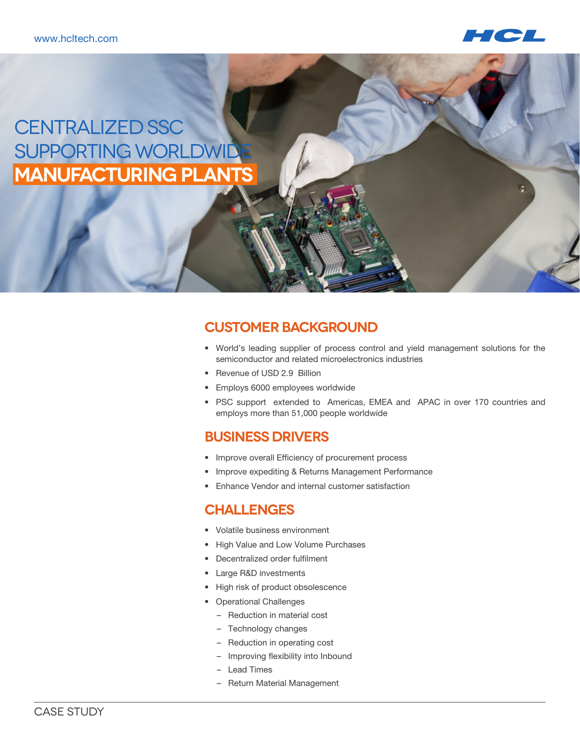

# CENTRALIZED SSC SUPPORTING WORLDWID **Manufacturing Plants**

## **Customer Background**

- • World's leading supplier of process control and yield management solutions for the semiconductor and related microelectronics industries
- Revenue of USD 2.9 Billion
- • Employs 6000 employees worldwide
- • PSC support extended to Americas, EMEA and APAC in over 170 countries and employs more than 51,000 people worldwide

### **Business Drivers**

- Improve overall Efficiency of procurement process
- Improve expediting & Returns Management Performance
- • Enhance Vendor and internal customer satisfaction

#### **Challenges**

- • Volatile business environment
- High Value and Low Volume Purchases
- • Decentralized order fulfilment
- • Large R&D investments
- High risk of product obsolescence
- • Operational Challenges
	- Reduction in material cost
	- Technology changes
	- Reduction in operating cost
	- Improving flexibility into Inbound
	- Lead Times
	- Return Material Management